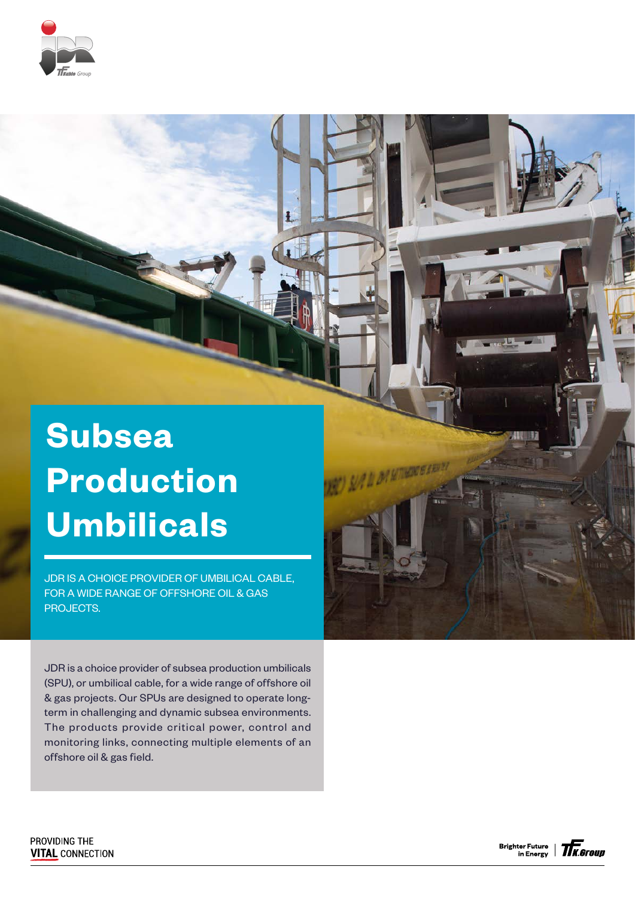

## **Subsea Production Umbilicals**

JDR IS A CHOICE PROVIDER OF UMBILICAL CABLE, FOR A WIDE RANGE OF OFFSHORE OIL & GAS PROJECTS.

JDR is a choice provider of subsea production umbilicals (SPU), or umbilical cable, for a wide range of offshore oil & gas projects. Our SPUs are designed to operate longterm in challenging and dynamic subsea environments. The products provide critical power, control and monitoring links, connecting multiple elements of an offshore oil & gas field.

PROVIDING THE **VITAL CONNECTION**